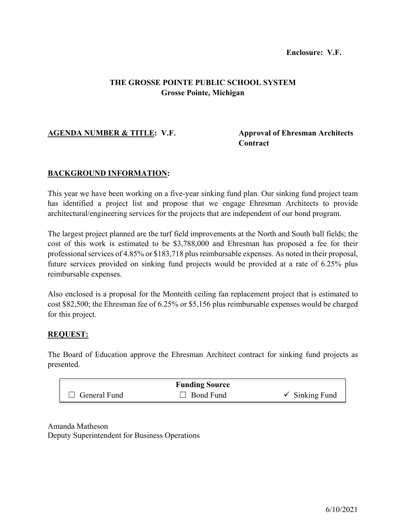# **Enclosure: V.F.**

# **THE GROSSE POINTE PUBLIC SCHOOL SYSTEM Grosse Pointe, Michigan**

# **AGENDA NUMBER & TITLE: V.F. Approval of Ehresman Architects**

# **Contract**

# **BACKGROUND INFORMATION:**

This year we have been working on a five-year sinking fund plan. Our sinking fund project team has identified a project list and propose that we engage Ehresman Architects to provide architectural/engineering services for the projects that are independent of our bond program.

The largest project planned are the turf field improvements at the North and South ball fields; the cost of this work is estimated to be \$3,788,000 and Ehresman has proposed a fee for their professional services of 4.85% or \$183,718 plus reimbursable expenses. As noted in their proposal, future services provided on sinking fund projects would be provided at a rate of 6.25% plus reimbursable expenses.

Also enclosed is a proposal for the Monteith ceiling fan replacement project that is estimated to cost \$82,500; the Ehresman fee of 6.25% or \$5,156 plus reimbursable expenses would be charged for this project.

## **REQUEST:**

The Board of Education approve the Ehresman Architect contract for sinking fund projects as presented.

|              | <b>Funding Source</b> |                           |
|--------------|-----------------------|---------------------------|
| General Fund | $\Box$ Bond Fund      | $\checkmark$ Sinking Fund |

Amanda Matheson Deputy Superintendent for Business Operations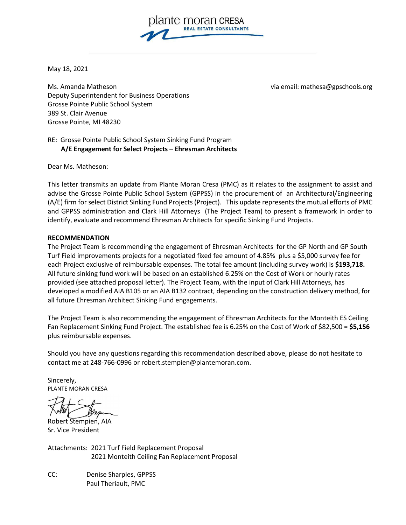

May 18, 2021

Ms. Amanda Matheson via email: mathesa@gpschools.org Deputy Superintendent for Business Operations Grosse Pointe Public School System 389 St. Clair Avenue Grosse Pointe, MI 48230

## RE: Grosse Pointe Public School System Sinking Fund Program  **A/E Engagement for Select Projects – Ehresman Architects**

Dear Ms. Matheson:

This letter transmits an update from Plante Moran Cresa (PMC) as it relates to the assignment to assist and advise the Grosse Pointe Public School System (GPPSS) in the procurement of an Architectural/Engineering (A/E) firm for select District Sinking Fund Projects (Project). This update represents the mutual efforts of PMC and GPPSS administration and Clark Hill Attorneys (The Project Team) to present a framework in order to identify, evaluate and recommend Ehresman Architects for specific Sinking Fund Projects.

## **RECOMMENDATION**

The Project Team is recommending the engagement of Ehresman Architects for the GP North and GP South Turf Field improvements projects for a negotiated fixed fee amount of 4.85% plus a \$5,000 survey fee for each Project exclusive of reimbursable expenses. The total fee amount (including survey work) is **\$193,718.** All future sinking fund work will be based on an established 6.25% on the Cost of Work or hourly rates provided (see attached proposal letter). The Project Team, with the input of Clark Hill Attorneys, has developed a modified AIA B105 or an AIA B132 contract, depending on the construction delivery method, for all future Ehresman Architect Sinking Fund engagements.

The Project Team is also recommending the engagement of Ehresman Architects for the Monteith ES Ceiling Fan Replacement Sinking Fund Project. The established fee is 6.25% on the Cost of Work of \$82,500 = **\$5,156** plus reimbursable expenses.

Should you have any questions regarding this recommendation described above, please do not hesitate to contact me at 248-766-0996 or [robert.stempien@plantemoran.com.](mailto:robert.stempien@plantemoran.com)

Sincerely, PLANTE MORAN CRESA

Robert Stempien, AIA Sr. Vice President

Attachments: 2021 Turf Field Replacement Proposal 2021 Monteith Ceiling Fan Replacement Proposal

CC: Denise Sharples, GPPSS Paul Theriault, PMC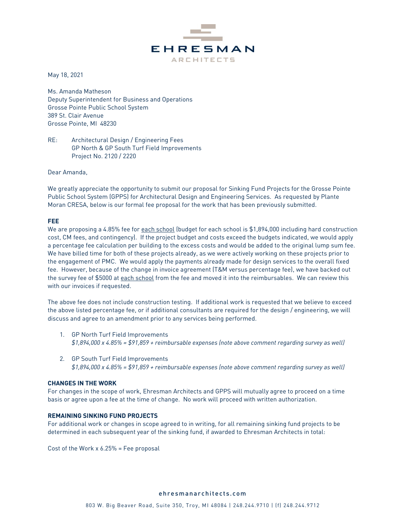

May 18, 2021

Ms. Amanda Matheson Deputy Superintendent for Business and Operations Grosse Pointe Public School System 389 St. Clair Avenue Grosse Pointe, MI 48230

RE: Architectural Design / Engineering Fees GP North & GP South Turf Field Improvements Project No. 2120 / 2220

Dear Amanda,

We greatly appreciate the opportunity to submit our proposal for Sinking Fund Projects for the Grosse Pointe Public School System (GPPS) for Architectural Design and Engineering Services. As requested by Plante Moran CRESA, below is our formal fee proposal for the work that has been previously submitted.

#### **FEE**

We are proposing a 4.85% fee for each school (budget for each school is \$1,894,000 including hard construction cost, CM fees, and contingency). If the project budget and costs exceed the budgets indicated, we would apply a percentage fee calculation per building to the excess costs and would be added to the original lump sum fee. We have billed time for both of these projects already, as we were actively working on these projects prior to the engagement of PMC. We would apply the payments already made for design services to the overall fixed fee. However, because of the change in invoice agreement (T&M versus percentage fee), we have backed out the survey fee of \$5000 at each school from the fee and moved it into the reimbursables. We can review this with our invoices if requested.

The above fee does not include construction testing. If additional work is requested that we believe to exceed the above listed percentage fee, or if additional consultants are required for the design / engineering, we will discuss and agree to an amendment prior to any services being performed.

- 1. GP North Turf Field Improvements *\$1,894,000 x 4.85% = \$91,859 + reimbursable expenses (note above comment regarding survey as well)*
- 2. GP South Turf Field Improvements *\$1,894,000 x 4.85% = \$91,859 + reimbursable expenses (note above comment regarding survey as well)*

#### **CHANGES IN THE WORK**

For changes in the scope of work, Ehresman Architects and GPPS will mutually agree to proceed on a time basis or agree upon a fee at the time of change. No work will proceed with written authorization.

#### **REMAINING SINKING FUND PROJECTS**

For additional work or changes in scope agreed to in writing, for all remaining sinking fund projects to be determined in each subsequent year of the sinking fund, if awarded to Ehresman Architects in total:

Cost of the Work x 6.25% = Fee proposal

#### e h r e s m a n a r c h i t e c t s . c o m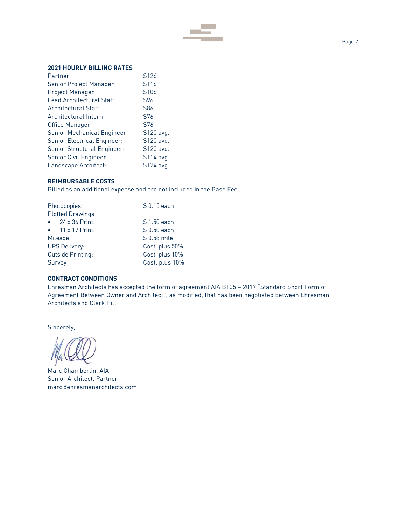

#### **2021 HOURLY BILLING RATES**

| \$126      |
|------------|
| \$116      |
| \$106      |
| \$96       |
| \$86       |
| \$76       |
| \$76       |
| \$120 avg. |
| \$120 avg. |
| \$120 avg. |
| \$114 avg. |
| \$124 avg. |
|            |

## **REIMBURSABLE COSTS**

Billed as an additional expense and are not included in the Base Fee.

| Photocopies:             | $$0.15$ each   |
|--------------------------|----------------|
| <b>Plotted Drawings</b>  |                |
| $\bullet$ 24 x 36 Print: | \$1.50 each    |
| $\bullet$ 11 x 17 Print: | \$0.50 each    |
| Mileage:                 | \$0.58 mile    |
| <b>UPS Delivery:</b>     | Cost, plus 50% |
| Outside Printing:        | Cost, plus 10% |
| Survey                   | Cost, plus 10% |
|                          |                |

#### **CONTRACT CONDITIONS**

Ehresman Architects has accepted the form of agreement AIA B105 – 2017 "Standard Short Form of Agreement Between Owner and Architect", as modified, that has been negotiated between Ehresman Architects and Clark Hill.

Sincerely,

Marc Chamberlin, AIA Senior Architect, Partner marc@ehresmanarchitects.com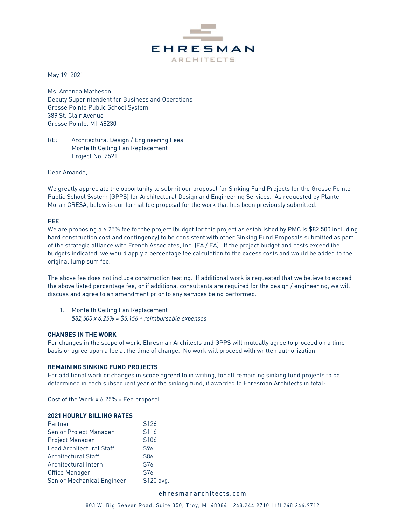

May 19, 2021

Ms. Amanda Matheson Deputy Superintendent for Business and Operations Grosse Pointe Public School System 389 St. Clair Avenue Grosse Pointe, MI 48230

RE: Architectural Design / Engineering Fees Monteith Ceiling Fan Replacement Project No. 2521

Dear Amanda,

We greatly appreciate the opportunity to submit our proposal for Sinking Fund Projects for the Grosse Pointe Public School System (GPPS) for Architectural Design and Engineering Services. As requested by Plante Moran CRESA, below is our formal fee proposal for the work that has been previously submitted.

#### **FEE**

We are proposing a 6.25% fee for the project (budget for this project as established by PMC is \$82,500 including hard construction cost and contingency) to be consistent with other Sinking Fund Proposals submitted as part of the strategic alliance with French Associates, Inc. (FA / EA). If the project budget and costs exceed the budgets indicated, we would apply a percentage fee calculation to the excess costs and would be added to the original lump sum fee.

The above fee does not include construction testing. If additional work is requested that we believe to exceed the above listed percentage fee, or if additional consultants are required for the design / engineering, we will discuss and agree to an amendment prior to any services being performed.

1. Monteith Ceiling Fan Replacement *\$82,500 x 6.25% = \$5,156 + reimbursable expenses*

#### **CHANGES IN THE WORK**

For changes in the scope of work, Ehresman Architects and GPPS will mutually agree to proceed on a time basis or agree upon a fee at the time of change. No work will proceed with written authorization.

#### **REMAINING SINKING FUND PROJECTS**

For additional work or changes in scope agreed to in writing, for all remaining sinking fund projects to be determined in each subsequent year of the sinking fund, if awarded to Ehresman Architects in total:

Cost of the Work x 6.25% = Fee proposal

#### **2021 HOURLY BILLING RATES**

| Partner                     | \$126      |
|-----------------------------|------------|
| Senior Project Manager      | \$116      |
| Project Manager             | \$106      |
| Lead Architectural Staff    | \$96       |
| <b>Architectural Staff</b>  | \$86       |
| Architectural Intern        | \$76       |
| Office Manager              | \$76       |
| Senior Mechanical Engineer: | \$120 avg. |
|                             |            |

#### e h r e s m a n a r c h i t e c t s . c o m